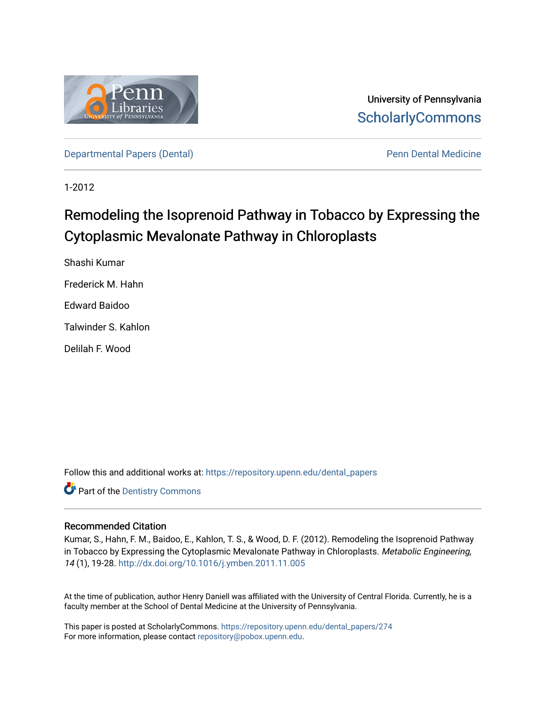

University of Pennsylvania **ScholarlyCommons** 

[Departmental Papers \(Dental\)](https://repository.upenn.edu/dental_papers) **Pennis Accord Pennis Pennis Pennis Pennis Pennis Pennis Pennis Pennis Pennis Pennis Pennis Pennis Pennis Pennis Pennis Pennis Pennis Pennis Pennis Pennis Pennis Pennis Pennis Pennis Pennis Pen** 

1-2012

# Remodeling the Isoprenoid Pathway in Tobacco by Expressing the Cytoplasmic Mevalonate Pathway in Chloroplasts

Shashi Kumar Frederick M. Hahn Edward Baidoo Talwinder S. Kahlon Delilah F. Wood

Follow this and additional works at: [https://repository.upenn.edu/dental\\_papers](https://repository.upenn.edu/dental_papers?utm_source=repository.upenn.edu%2Fdental_papers%2F274&utm_medium=PDF&utm_campaign=PDFCoverPages)

**Part of the Dentistry Commons** 

## Recommended Citation

Kumar, S., Hahn, F. M., Baidoo, E., Kahlon, T. S., & Wood, D. F. (2012). Remodeling the Isoprenoid Pathway in Tobacco by Expressing the Cytoplasmic Mevalonate Pathway in Chloroplasts. Metabolic Engineering, 14 (1), 19-28. <http://dx.doi.org/10.1016/j.ymben.2011.11.005>

At the time of publication, author Henry Daniell was affiliated with the University of Central Florida. Currently, he is a faculty member at the School of Dental Medicine at the University of Pennsylvania.

This paper is posted at ScholarlyCommons. [https://repository.upenn.edu/dental\\_papers/274](https://repository.upenn.edu/dental_papers/274)  For more information, please contact [repository@pobox.upenn.edu.](mailto:repository@pobox.upenn.edu)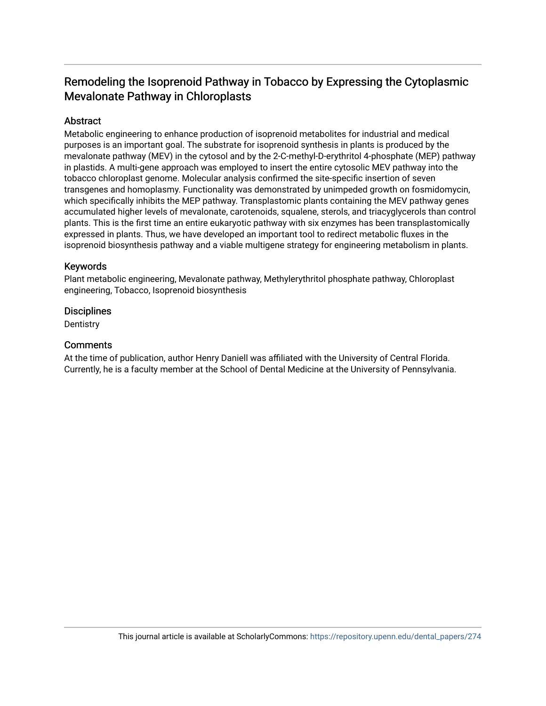## Remodeling the Isoprenoid Pathway in Tobacco by Expressing the Cytoplasmic Mevalonate Pathway in Chloroplasts

## Abstract

Metabolic engineering to enhance production of isoprenoid metabolites for industrial and medical purposes is an important goal. The substrate for isoprenoid synthesis in plants is produced by the mevalonate pathway (MEV) in the cytosol and by the 2-C-methyl-D-erythritol 4-phosphate (MEP) pathway in plastids. A multi-gene approach was employed to insert the entire cytosolic MEV pathway into the tobacco chloroplast genome. Molecular analysis confirmed the site-specific insertion of seven transgenes and homoplasmy. Functionality was demonstrated by unimpeded growth on fosmidomycin, which specifically inhibits the MEP pathway. Transplastomic plants containing the MEV pathway genes accumulated higher levels of mevalonate, carotenoids, squalene, sterols, and triacyglycerols than control plants. This is the first time an entire eukaryotic pathway with six enzymes has been transplastomically expressed in plants. Thus, we have developed an important tool to redirect metabolic fluxes in the isoprenoid biosynthesis pathway and a viable multigene strategy for engineering metabolism in plants.

## Keywords

Plant metabolic engineering, Mevalonate pathway, Methylerythritol phosphate pathway, Chloroplast engineering, Tobacco, Isoprenoid biosynthesis

## **Disciplines**

**Dentistry** 

## **Comments**

At the time of publication, author Henry Daniell was affiliated with the University of Central Florida. Currently, he is a faculty member at the School of Dental Medicine at the University of Pennsylvania.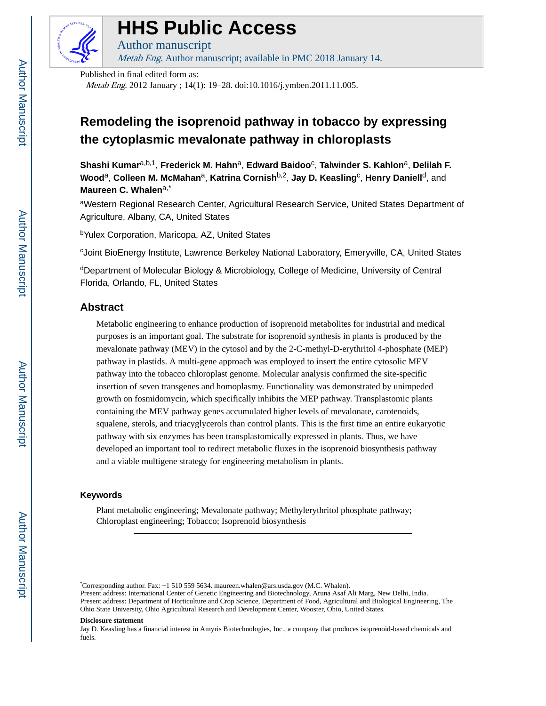

# **HHS Public Access**

Author manuscript Metab Eng. Author manuscript; available in PMC 2018 January 14.

Published in final edited form as:

Metab Eng. 2012 January ; 14(1): 19–28. doi:10.1016/j.ymben.2011.11.005.

## **Remodeling the isoprenoid pathway in tobacco by expressing the cytoplasmic mevalonate pathway in chloroplasts**

 $Shashi$  Kumar<sup>a,b,1</sup>, Frederick M. Hahn<sup>a</sup>, Edward Baidoo<sup>c</sup>, Talwinder S. Kahlon<sup>a</sup>, Delilah F. **Wood** $^{\text{a}}$ **, Colleen M. McMahan** $^{\text{a}}$ **, Katrina Cornish** $^{\text{b,2}}$ **, Jay D. Keasling<sup>c</sup>, Henry Daniell<sup>d</sup>, and Maureen C. Whalen**a,\*

<sup>a</sup>Western Regional Research Center, Agricultural Research Service, United States Department of Agriculture, Albany, CA, United States

<sup>b</sup>Yulex Corporation, Maricopa, AZ, United States

<sup>c</sup>Joint BioEnergy Institute, Lawrence Berkeley National Laboratory, Emeryville, CA, United States

<sup>d</sup>Department of Molecular Biology & Microbiology, College of Medicine, University of Central Florida, Orlando, FL, United States

## **Abstract**

Metabolic engineering to enhance production of isoprenoid metabolites for industrial and medical purposes is an important goal. The substrate for isoprenoid synthesis in plants is produced by the mevalonate pathway (MEV) in the cytosol and by the 2-C-methyl-D-erythritol 4-phosphate (MEP) pathway in plastids. A multi-gene approach was employed to insert the entire cytosolic MEV pathway into the tobacco chloroplast genome. Molecular analysis confirmed the site-specific insertion of seven transgenes and homoplasmy. Functionality was demonstrated by unimpeded growth on fosmidomycin, which specifically inhibits the MEP pathway. Transplastomic plants containing the MEV pathway genes accumulated higher levels of mevalonate, carotenoids, squalene, sterols, and triacyglycerols than control plants. This is the first time an entire eukaryotic pathway with six enzymes has been transplastomically expressed in plants. Thus, we have developed an important tool to redirect metabolic fluxes in the isoprenoid biosynthesis pathway and a viable multigene strategy for engineering metabolism in plants.

## **Keywords**

Plant metabolic engineering; Mevalonate pathway; Methylerythritol phosphate pathway; Chloroplast engineering; Tobacco; Isoprenoid biosynthesis

<sup>\*</sup>Corresponding author. Fax: +1 510 559 5634. maureen.whalen@ars.usda.gov (M.C. Whalen).

Present address: International Center of Genetic Engineering and Biotechnology, Aruna Asaf Ali Marg, New Delhi, India. Present address: Department of Horticulture and Crop Science, Department of Food, Agricultural and Biological Engineering, The Ohio State University, Ohio Agricultural Research and Development Center, Wooster, Ohio, United States.

**Disclosure statement**

Jay D. Keasling has a financial interest in Amyris Biotechnologies, Inc., a company that produces isoprenoid-based chemicals and fuels.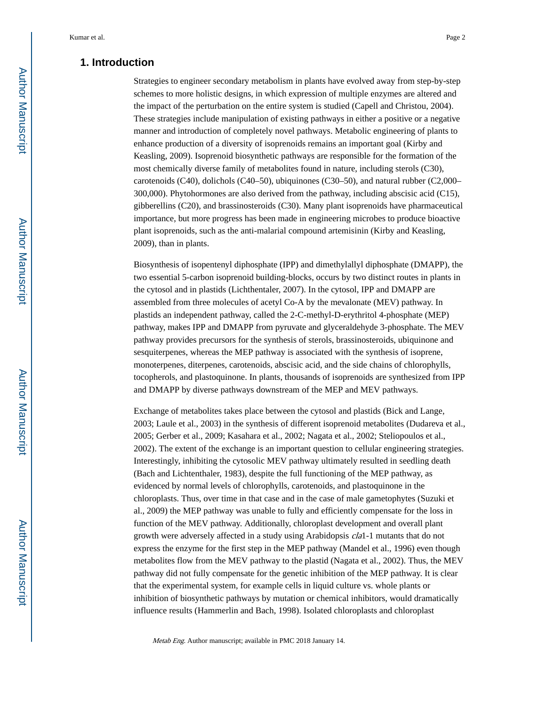## **1. Introduction**

Strategies to engineer secondary metabolism in plants have evolved away from step-by-step schemes to more holistic designs, in which expression of multiple enzymes are altered and the impact of the perturbation on the entire system is studied (Capell and Christou, 2004). These strategies include manipulation of existing pathways in either a positive or a negative manner and introduction of completely novel pathways. Metabolic engineering of plants to enhance production of a diversity of isoprenoids remains an important goal (Kirby and Keasling, 2009). Isoprenoid biosynthetic pathways are responsible for the formation of the most chemically diverse family of metabolites found in nature, including sterols (C30), carotenoids (C40), dolichols (C40–50), ubiquinones (C30–50), and natural rubber (C2,000– 300,000). Phytohormones are also derived from the pathway, including abscisic acid (C15), gibberellins (C20), and brassinosteroids (C30). Many plant isoprenoids have pharmaceutical importance, but more progress has been made in engineering microbes to produce bioactive plant isoprenoids, such as the anti-malarial compound artemisinin (Kirby and Keasling, 2009), than in plants.

Biosynthesis of isopentenyl diphosphate (IPP) and dimethylallyl diphosphate (DMAPP), the two essential 5-carbon isoprenoid building-blocks, occurs by two distinct routes in plants in the cytosol and in plastids (Lichthentaler, 2007). In the cytosol, IPP and DMAPP are assembled from three molecules of acetyl Co-A by the mevalonate (MEV) pathway. In plastids an independent pathway, called the 2-C-methyl-D-erythritol 4-phosphate (MEP) pathway, makes IPP and DMAPP from pyruvate and glyceraldehyde 3-phosphate. The MEV pathway provides precursors for the synthesis of sterols, brassinosteroids, ubiquinone and sesquiterpenes, whereas the MEP pathway is associated with the synthesis of isoprene, monoterpenes, diterpenes, carotenoids, abscisic acid, and the side chains of chlorophylls, tocopherols, and plastoquinone. In plants, thousands of isoprenoids are synthesized from IPP and DMAPP by diverse pathways downstream of the MEP and MEV pathways.

Exchange of metabolites takes place between the cytosol and plastids (Bick and Lange, 2003; Laule et al., 2003) in the synthesis of different isoprenoid metabolites (Dudareva et al., 2005; Gerber et al., 2009; Kasahara et al., 2002; Nagata et al., 2002; Steliopoulos et al., 2002). The extent of the exchange is an important question to cellular engineering strategies. Interestingly, inhibiting the cytosolic MEV pathway ultimately resulted in seedling death (Bach and Lichtenthaler, 1983), despite the full functioning of the MEP pathway, as evidenced by normal levels of chlorophylls, carotenoids, and plastoquinone in the chloroplasts. Thus, over time in that case and in the case of male gametophytes (Suzuki et al., 2009) the MEP pathway was unable to fully and efficiently compensate for the loss in function of the MEV pathway. Additionally, chloroplast development and overall plant growth were adversely affected in a study using Arabidopsis cla1-1 mutants that do not express the enzyme for the first step in the MEP pathway (Mandel et al., 1996) even though metabolites flow from the MEV pathway to the plastid (Nagata et al., 2002). Thus, the MEV pathway did not fully compensate for the genetic inhibition of the MEP pathway. It is clear that the experimental system, for example cells in liquid culture vs. whole plants or inhibition of biosynthetic pathways by mutation or chemical inhibitors, would dramatically influence results (Hammerlin and Bach, 1998). Isolated chloroplasts and chloroplast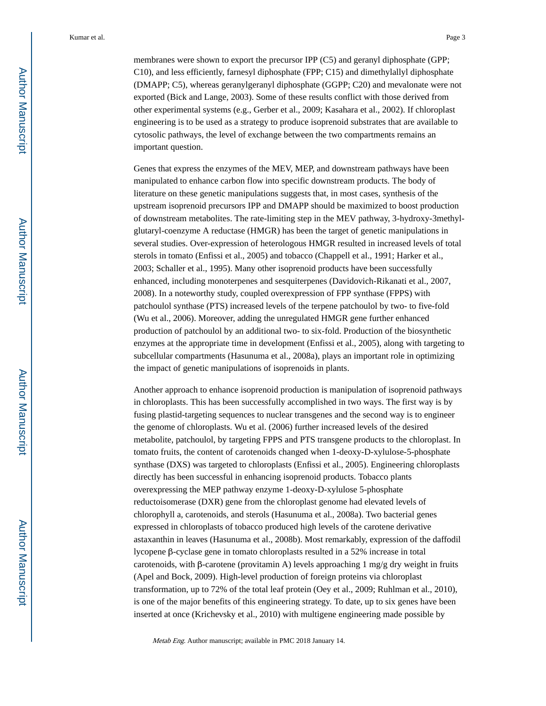membranes were shown to export the precursor IPP (C5) and geranyl diphosphate (GPP; C10), and less efficiently, farnesyl diphosphate (FPP; C15) and dimethylallyl diphosphate (DMAPP; C5), whereas geranylgeranyl diphosphate (GGPP; C20) and mevalonate were not exported (Bick and Lange, 2003). Some of these results conflict with those derived from other experimental systems (e.g., Gerber et al., 2009; Kasahara et al., 2002). If chloroplast engineering is to be used as a strategy to produce isoprenoid substrates that are available to cytosolic pathways, the level of exchange between the two compartments remains an important question.

Genes that express the enzymes of the MEV, MEP, and downstream pathways have been manipulated to enhance carbon flow into specific downstream products. The body of literature on these genetic manipulations suggests that, in most cases, synthesis of the upstream isoprenoid precursors IPP and DMAPP should be maximized to boost production of downstream metabolites. The rate-limiting step in the MEV pathway, 3-hydroxy-3methylglutaryl-coenzyme A reductase (HMGR) has been the target of genetic manipulations in several studies. Over-expression of heterologous HMGR resulted in increased levels of total sterols in tomato (Enfissi et al., 2005) and tobacco (Chappell et al., 1991; Harker et al., 2003; Schaller et al., 1995). Many other isoprenoid products have been successfully enhanced, including monoterpenes and sesquiterpenes (Davidovich-Rikanati et al., 2007, 2008). In a noteworthy study, coupled overexpression of FPP synthase (FPPS) with patchoulol synthase (PTS) increased levels of the terpene patchoulol by two- to five-fold (Wu et al., 2006). Moreover, adding the unregulated HMGR gene further enhanced production of patchoulol by an additional two- to six-fold. Production of the biosynthetic enzymes at the appropriate time in development (Enfissi et al., 2005), along with targeting to subcellular compartments (Hasunuma et al., 2008a), plays an important role in optimizing the impact of genetic manipulations of isoprenoids in plants.

Another approach to enhance isoprenoid production is manipulation of isoprenoid pathways in chloroplasts. This has been successfully accomplished in two ways. The first way is by fusing plastid-targeting sequences to nuclear transgenes and the second way is to engineer the genome of chloroplasts. Wu et al. (2006) further increased levels of the desired metabolite, patchoulol, by targeting FPPS and PTS transgene products to the chloroplast. In tomato fruits, the content of carotenoids changed when 1-deoxy-D-xylulose-5-phosphate synthase (DXS) was targeted to chloroplasts (Enfissi et al., 2005). Engineering chloroplasts directly has been successful in enhancing isoprenoid products. Tobacco plants overexpressing the MEP pathway enzyme 1-deoxy-D-xylulose 5-phosphate reductoisomerase (DXR) gene from the chloroplast genome had elevated levels of chlorophyll a, carotenoids, and sterols (Hasunuma et al., 2008a). Two bacterial genes expressed in chloroplasts of tobacco produced high levels of the carotene derivative astaxanthin in leaves (Hasunuma et al., 2008b). Most remarkably, expression of the daffodil lycopene β-cyclase gene in tomato chloroplasts resulted in a 52% increase in total carotenoids, with β-carotene (provitamin A) levels approaching 1 mg/g dry weight in fruits (Apel and Bock, 2009). High-level production of foreign proteins via chloroplast transformation, up to 72% of the total leaf protein (Oey et al., 2009; Ruhlman et al., 2010), is one of the major benefits of this engineering strategy. To date, up to six genes have been inserted at once (Krichevsky et al., 2010) with multigene engineering made possible by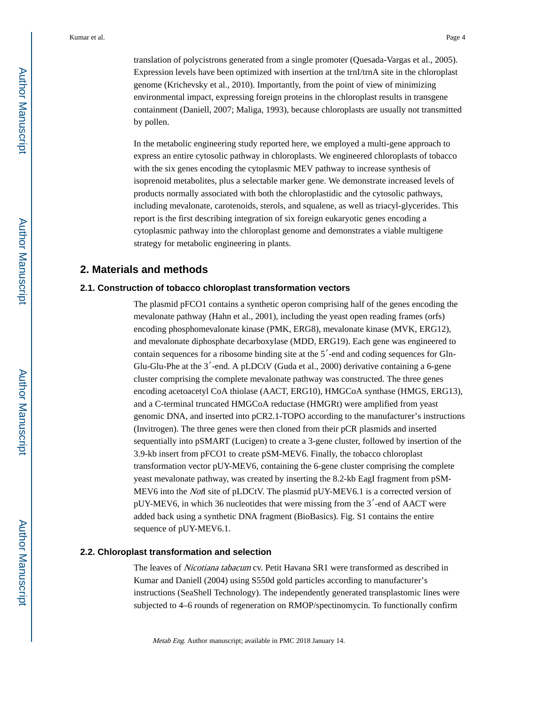translation of polycistrons generated from a single promoter (Quesada-Vargas et al., 2005). Expression levels have been optimized with insertion at the trnI/trnA site in the chloroplast genome (Krichevsky et al., 2010). Importantly, from the point of view of minimizing environmental impact, expressing foreign proteins in the chloroplast results in transgene containment (Daniell, 2007; Maliga, 1993), because chloroplasts are usually not transmitted by pollen.

In the metabolic engineering study reported here, we employed a multi-gene approach to express an entire cytosolic pathway in chloroplasts. We engineered chloroplasts of tobacco with the six genes encoding the cytoplasmic MEV pathway to increase synthesis of isoprenoid metabolites, plus a selectable marker gene. We demonstrate increased levels of products normally associated with both the chloroplastidic and the cytosolic pathways, including mevalonate, carotenoids, sterols, and squalene, as well as triacyl-glycerides. This report is the first describing integration of six foreign eukaryotic genes encoding a cytoplasmic pathway into the chloroplast genome and demonstrates a viable multigene strategy for metabolic engineering in plants.

## **2. Materials and methods**

#### **2.1. Construction of tobacco chloroplast transformation vectors**

The plasmid pFCO1 contains a synthetic operon comprising half of the genes encoding the mevalonate pathway (Hahn et al., 2001), including the yeast open reading frames (orfs) encoding phosphomevalonate kinase (PMK, ERG8), mevalonate kinase (MVK, ERG12), and mevalonate diphosphate decarboxylase (MDD, ERG19). Each gene was engineered to contain sequences for a ribosome binding site at the 5′-end and coding sequences for Gln-Glu-Glu-Phe at the  $3'$ -end. A pLDCtV (Guda et al., 2000) derivative containing a 6-gene cluster comprising the complete mevalonate pathway was constructed. The three genes encoding acetoacetyl CoA thiolase (AACT, ERG10), HMGCoA synthase (HMGS, ERG13), and a C-terminal truncated HMGCoA reductase (HMGRt) were amplified from yeast genomic DNA, and inserted into pCR2.1-TOPO according to the manufacturer's instructions (Invitrogen). The three genes were then cloned from their pCR plasmids and inserted sequentially into pSMART (Lucigen) to create a 3-gene cluster, followed by insertion of the 3.9-kb insert from pFCO1 to create pSM-MEV6. Finally, the tobacco chloroplast transformation vector pUY-MEV6, containing the 6-gene cluster comprising the complete yeast mevalonate pathway, was created by inserting the 8.2-kb EagI fragment from pSM-MEV6 into the *Not*I site of pLDCtV. The plasmid pUY-MEV6.1 is a corrected version of pUY-MEV6, in which 36 nucleotides that were missing from the 3′-end of AACT were added back using a synthetic DNA fragment (BioBasics). Fig. S1 contains the entire sequence of pUY-MEV6.1.

#### **2.2. Chloroplast transformation and selection**

The leaves of Nicotiana tabacum cv. Petit Havana SR1 were transformed as described in Kumar and Daniell (2004) using S550d gold particles according to manufacturer's instructions (SeaShell Technology). The independently generated transplastomic lines were subjected to 4–6 rounds of regeneration on RMOP/spectinomycin. To functionally confirm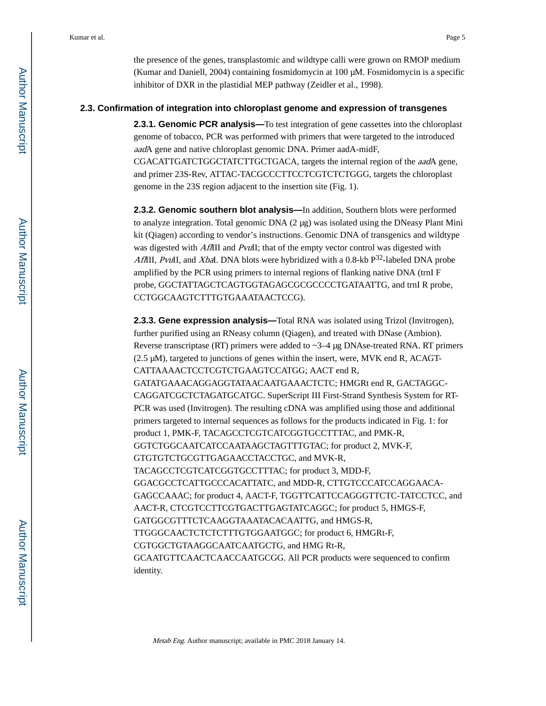the presence of the genes, transplastomic and wildtype calli were grown on RMOP medium (Kumar and Daniell, 2004) containing fosmidomycin at 100 μM. Fosmidomycin is a specific inhibitor of DXR in the plastidial MEP pathway (Zeidler et al., 1998).

#### **2.3. Confirmation of integration into chloroplast genome and expression of transgenes**

**2.3.1. Genomic PCR analysis—**To test integration of gene cassettes into the chloroplast genome of tobacco, PCR was performed with primers that were targeted to the introduced aadA gene and native chloroplast genomic DNA. Primer aadA-midF, CGACATTGATCTGGCTATCTTGCTGACA, targets the internal region of the aadA gene, and primer 23S-Rev, ATTAC-TACGCCCTTCCTCGTCTCTGGG, targets the chloroplast genome in the 23S region adjacent to the insertion site (Fig. 1).

**2.3.2. Genomic southern blot analysis—**In addition, Southern blots were performed to analyze integration. Total genomic  $DNA$  (2  $\mu$ g) was isolated using the DNeasy Plant Mini kit (Qiagen) according to vendor's instructions. Genomic DNA of transgenics and wildtype was digested with AflIII and PvuII; that of the empty vector control was digested with AflIII, PvuII, and XbaI. DNA blots were hybridized with a 0.8-kb  $P^{32}$ -labeled DNA probe amplified by the PCR using primers to internal regions of flanking native DNA (trnI F probe, GGCTATTAGCTCAGTGGTAGAGCGCGCCCCTGATAATTG, and trnI R probe, CCTGGCAAGTCTTTGTGAAATAACTCCG).

**2.3.3. Gene expression analysis—**Total RNA was isolated using Trizol (Invitrogen), further purified using an RNeasy column (Qiagen), and treated with DNase (Ambion). Reverse transcriptase (RT) primers were added to  $\sim$ 3–4 μg DNAse-treated RNA. RT primers (2.5 μM), targeted to junctions of genes within the insert, were, MVK end R, ACAGT-CATTAAAACTCCTCGTCTGAAGTCCATGG; AACT end R, GATATGAAACAGGAGGTATAACAATGAAACTCTC; HMGRt end R, GACTAGGC-CAGGATCGCTCTAGATGCATGC. SuperScript III First-Strand Synthesis System for RT-PCR was used (Invitrogen). The resulting cDNA was amplified using those and additional primers targeted to internal sequences as follows for the products indicated in Fig. 1: for product 1, PMK-F, TACAGCCTCGTCATCGGTGCCTTTAC, and PMK-R, GGTCTGGCAATCATCCAATAAGCTAGTTTGTAC; for product 2, MVK-F, GTGTGTCTGCGTTGAGAACCTACCTGC, and MVK-R, TACAGCCTCGTCATCGGTGCCTTTAC; for product 3, MDD-F, GGACGCCTCATTGCCCACATTATC, and MDD-R, CTTGTCCCATCCAGGAACA-GAGCCAAAC; for product 4, AACT-F, TGGTTCATTCCAGGGTTCTC-TATCCTCC, and AACT-R, CTCGTCCTTCGTGACTTGAGTATCAGGC; for product 5, HMGS-F, GATGGCGTTTCTCAAGGTAAATACACAATTG, and HMGS-R, TTGGGCAACTCTCTCTTTGTGGAATGGC; for product 6, HMGRt-F, CGTGGCTGTAAGGCAATCAATGCTG, and HMG Rt-R, GCAATGTTCAACTCAACCAATGCGG. All PCR products were sequenced to confirm identity.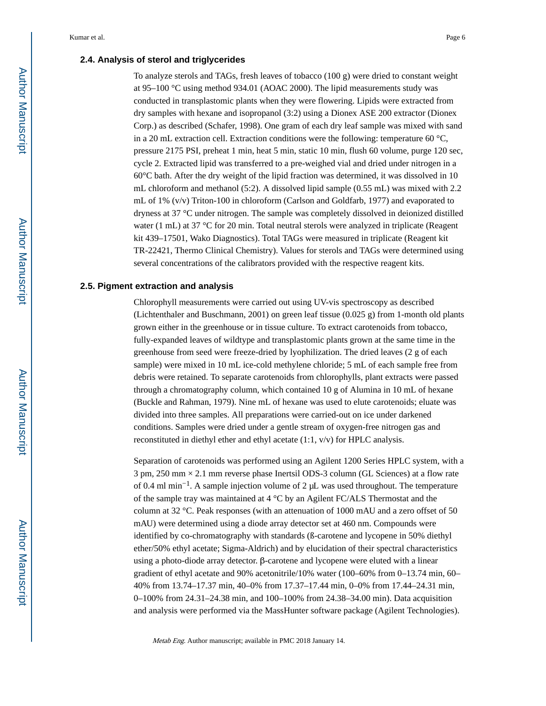#### **2.4. Analysis of sterol and triglycerides**

To analyze sterols and TAGs, fresh leaves of tobacco  $(100 \text{ g})$  were dried to constant weight at 95–100 °C using method 934.01 (AOAC 2000). The lipid measurements study was conducted in transplastomic plants when they were flowering. Lipids were extracted from dry samples with hexane and isopropanol (3:2) using a Dionex ASE 200 extractor (Dionex Corp.) as described (Schafer, 1998). One gram of each dry leaf sample was mixed with sand in a 20 mL extraction cell. Extraction conditions were the following: temperature 60  $^{\circ}$ C, pressure 2175 PSI, preheat 1 min, heat 5 min, static 10 min, flush 60 volume, purge 120 sec, cycle 2. Extracted lipid was transferred to a pre-weighed vial and dried under nitrogen in a 60°C bath. After the dry weight of the lipid fraction was determined, it was dissolved in 10 mL chloroform and methanol (5:2). A dissolved lipid sample (0.55 mL) was mixed with 2.2 mL of 1% (v/v) Triton-100 in chloroform (Carlson and Goldfarb, 1977) and evaporated to dryness at 37 °C under nitrogen. The sample was completely dissolved in deionized distilled water (1 mL) at 37 °C for 20 min. Total neutral sterols were analyzed in triplicate (Reagent kit 439–17501, Wako Diagnostics). Total TAGs were measured in triplicate (Reagent kit TR-22421, Thermo Clinical Chemistry). Values for sterols and TAGs were determined using several concentrations of the calibrators provided with the respective reagent kits.

#### **2.5. Pigment extraction and analysis**

Chlorophyll measurements were carried out using UV-vis spectroscopy as described (Lichtenthaler and Buschmann, 2001) on green leaf tissue (0.025 g) from 1-month old plants grown either in the greenhouse or in tissue culture. To extract carotenoids from tobacco, fully-expanded leaves of wildtype and transplastomic plants grown at the same time in the greenhouse from seed were freeze-dried by lyophilization. The dried leaves (2 g of each sample) were mixed in 10 mL ice-cold methylene chloride; 5 mL of each sample free from debris were retained. To separate carotenoids from chlorophylls, plant extracts were passed through a chromatography column, which contained 10 g of Alumina in 10 mL of hexane (Buckle and Rahman, 1979). Nine mL of hexane was used to elute carotenoids; eluate was divided into three samples. All preparations were carried-out on ice under darkened conditions. Samples were dried under a gentle stream of oxygen-free nitrogen gas and reconstituted in diethyl ether and ethyl acetate (1:1, v/v) for HPLC analysis.

Separation of carotenoids was performed using an Agilent 1200 Series HPLC system, with a 3 pm, 250 mm × 2.1 mm reverse phase Inertsil ODS-3 column (GL Sciences) at a flow rate of 0.4 ml min−1. A sample injection volume of 2 μL was used throughout. The temperature of the sample tray was maintained at 4 °C by an Agilent FC/ALS Thermostat and the column at 32 °C. Peak responses (with an attenuation of 1000 mAU and a zero offset of 50 mAU) were determined using a diode array detector set at 460 nm. Compounds were identified by co-chromatography with standards (ß-carotene and lycopene in 50% diethyl ether/50% ethyl acetate; Sigma-Aldrich) and by elucidation of their spectral characteristics using a photo-diode array detector. β-carotene and lycopene were eluted with a linear gradient of ethyl acetate and 90% acetonitrile/10% water (100–60% from 0–13.74 min, 60– 40% from 13.74–17.37 min, 40–0% from 17.37–17.44 min, 0–0% from 17.44–24.31 min, 0–100% from 24.31–24.38 min, and 100–100% from 24.38–34.00 min). Data acquisition and analysis were performed via the MassHunter software package (Agilent Technologies).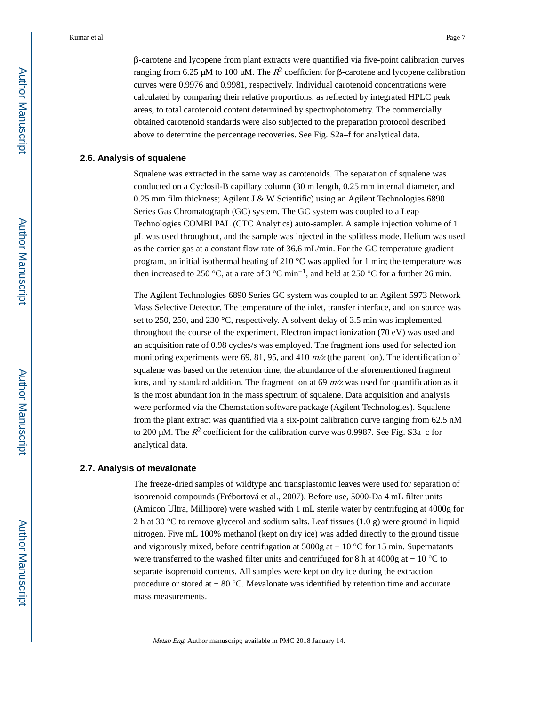β-carotene and lycopene from plant extracts were quantified via five-point calibration curves ranging from 6.25 μM to 100 μM. The  $R^2$  coefficient for β-carotene and lycopene calibration curves were 0.9976 and 0.9981, respectively. Individual carotenoid concentrations were calculated by comparing their relative proportions, as reflected by integrated HPLC peak areas, to total carotenoid content determined by spectrophotometry. The commercially obtained carotenoid standards were also subjected to the preparation protocol described above to determine the percentage recoveries. See Fig. S2a–f for analytical data.

#### **2.6. Analysis of squalene**

Squalene was extracted in the same way as carotenoids. The separation of squalene was conducted on a Cyclosil-B capillary column (30 m length, 0.25 mm internal diameter, and 0.25 mm film thickness; Agilent J & W Scientific) using an Agilent Technologies 6890 Series Gas Chromatograph (GC) system. The GC system was coupled to a Leap Technologies COMBI PAL (CTC Analytics) auto-sampler. A sample injection volume of 1 μL was used throughout, and the sample was injected in the splitless mode. Helium was used as the carrier gas at a constant flow rate of 36.6 mL/min. For the GC temperature gradient program, an initial isothermal heating of 210  $^{\circ}$ C was applied for 1 min; the temperature was then increased to 250 °C, at a rate of 3 °C min<sup>-1</sup>, and held at 250 °C for a further 26 min.

The Agilent Technologies 6890 Series GC system was coupled to an Agilent 5973 Network Mass Selective Detector. The temperature of the inlet, transfer interface, and ion source was set to 250, 250, and 230 °C, respectively. A solvent delay of 3.5 min was implemented throughout the course of the experiment. Electron impact ionization (70 eV) was used and an acquisition rate of 0.98 cycles/s was employed. The fragment ions used for selected ion monitoring experiments were 69, 81, 95, and 410  $m/z$  (the parent ion). The identification of squalene was based on the retention time, the abundance of the aforementioned fragment ions, and by standard addition. The fragment ion at 69  $m/z$  was used for quantification as it is the most abundant ion in the mass spectrum of squalene. Data acquisition and analysis were performed via the Chemstation software package (Agilent Technologies). Squalene from the plant extract was quantified via a six-point calibration curve ranging from 62.5 nM to 200 μM. The  $R^2$  coefficient for the calibration curve was 0.9987. See Fig. S3a–c for analytical data.

#### **2.7. Analysis of mevalonate**

The freeze-dried samples of wildtype and transplastomic leaves were used for separation of isoprenoid compounds (Frébortová et al., 2007). Before use, 5000-Da 4 mL filter units (Amicon Ultra, Millipore) were washed with 1 mL sterile water by centrifuging at 4000g for 2 h at 30 °C to remove glycerol and sodium salts. Leaf tissues (1.0 g) were ground in liquid nitrogen. Five mL 100% methanol (kept on dry ice) was added directly to the ground tissue and vigorously mixed, before centrifugation at 5000g at − 10 °C for 15 min. Supernatants were transferred to the washed filter units and centrifuged for 8 h at 4000g at − 10 °C to separate isoprenoid contents. All samples were kept on dry ice during the extraction procedure or stored at − 80 °C. Mevalonate was identified by retention time and accurate mass measurements.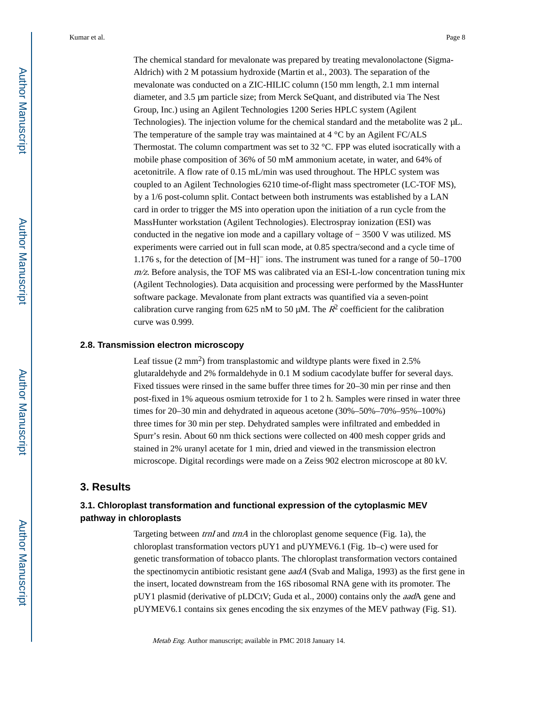The chemical standard for mevalonate was prepared by treating mevalonolactone (Sigma-Aldrich) with 2 M potassium hydroxide (Martin et al., 2003). The separation of the mevalonate was conducted on a ZIC-HILIC column (150 mm length, 2.1 mm internal diameter, and 3.5 μm particle size; from Merck SeQuant, and distributed via The Nest Group, Inc.) using an Agilent Technologies 1200 Series HPLC system (Agilent Technologies). The injection volume for the chemical standard and the metabolite was 2 μL. The temperature of the sample tray was maintained at  $4 \degree C$  by an Agilent FC/ALS Thermostat. The column compartment was set to 32 °C. FPP was eluted isocratically with a mobile phase composition of 36% of 50 mM ammonium acetate, in water, and 64% of acetonitrile. A flow rate of 0.15 mL/min was used throughout. The HPLC system was coupled to an Agilent Technologies 6210 time-of-flight mass spectrometer (LC-TOF MS), by a 1/6 post-column split. Contact between both instruments was established by a LAN card in order to trigger the MS into operation upon the initiation of a run cycle from the MassHunter workstation (Agilent Technologies). Electrospray ionization (ESI) was conducted in the negative ion mode and a capillary voltage of − 3500 V was utilized. MS experiments were carried out in full scan mode, at 0.85 spectra/second and a cycle time of 1.176 s, for the detection of [M−H]− ions. The instrument was tuned for a range of 50–1700  $m/z$ . Before analysis, the TOF MS was calibrated via an ESI-L-low concentration tuning mix (Agilent Technologies). Data acquisition and processing were performed by the MassHunter software package. Mevalonate from plant extracts was quantified via a seven-point calibration curve ranging from 625 nM to 50  $\mu$ M. The  $R^2$  coefficient for the calibration curve was 0.999.

#### **2.8. Transmission electron microscopy**

Leaf tissue  $(2 \text{ mm}^2)$  from transplastomic and wildtype plants were fixed in 2.5% glutaraldehyde and 2% formaldehyde in 0.1 M sodium cacodylate buffer for several days. Fixed tissues were rinsed in the same buffer three times for 20–30 min per rinse and then post-fixed in 1% aqueous osmium tetroxide for 1 to 2 h. Samples were rinsed in water three times for 20–30 min and dehydrated in aqueous acetone (30%–50%–70%–95%–100%) three times for 30 min per step. Dehydrated samples were infiltrated and embedded in Spurr's resin. About 60 nm thick sections were collected on 400 mesh copper grids and stained in 2% uranyl acetate for 1 min, dried and viewed in the transmission electron microscope. Digital recordings were made on a Zeiss 902 electron microscope at 80 kV.

#### **3. Results**

## **3.1. Chloroplast transformation and functional expression of the cytoplasmic MEV pathway in chloroplasts**

Targeting between *trnI* and *trnA* in the chloroplast genome sequence (Fig. 1a), the chloroplast transformation vectors pUY1 and pUYMEV6.1 (Fig. 1b–c) were used for genetic transformation of tobacco plants. The chloroplast transformation vectors contained the spectinomycin antibiotic resistant gene *aadA* (Svab and Maliga, 1993) as the first gene in the insert, located downstream from the 16S ribosomal RNA gene with its promoter. The pUY1 plasmid (derivative of pLDCtV; Guda et al., 2000) contains only the aadA gene and pUYMEV6.1 contains six genes encoding the six enzymes of the MEV pathway (Fig. S1).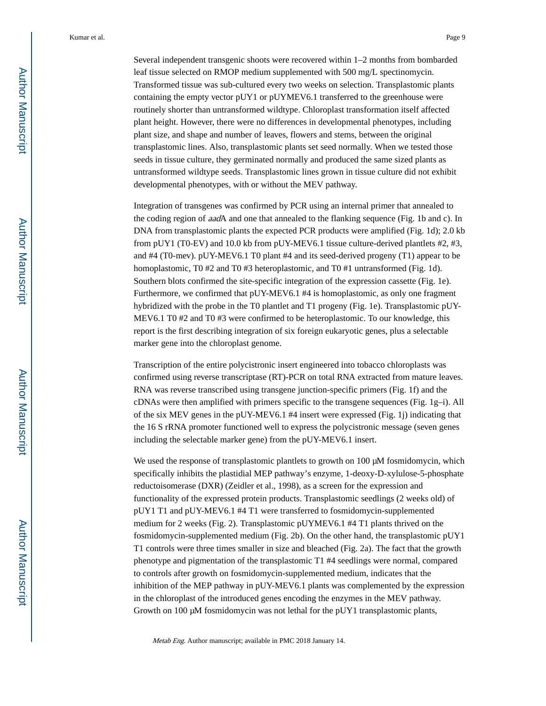Several independent transgenic shoots were recovered within 1–2 months from bombarded leaf tissue selected on RMOP medium supplemented with 500 mg/L spectinomycin. Transformed tissue was sub-cultured every two weeks on selection. Transplastomic plants containing the empty vector pUY1 or pUYMEV6.1 transferred to the greenhouse were routinely shorter than untransformed wildtype. Chloroplast transformation itself affected plant height. However, there were no differences in developmental phenotypes, including plant size, and shape and number of leaves, flowers and stems, between the original transplastomic lines. Also, transplastomic plants set seed normally. When we tested those seeds in tissue culture, they germinated normally and produced the same sized plants as untransformed wildtype seeds. Transplastomic lines grown in tissue culture did not exhibit developmental phenotypes, with or without the MEV pathway.

Integration of transgenes was confirmed by PCR using an internal primer that annealed to the coding region of *aad*A and one that annealed to the flanking sequence (Fig. 1b and c). In DNA from transplastomic plants the expected PCR products were amplified (Fig. 1d); 2.0 kb from pUY1 (T0-EV) and 10.0 kb from pUY-MEV6.1 tissue culture-derived plantlets #2, #3, and #4 (T0-mev). pUY-MEV6.1 T0 plant #4 and its seed-derived progeny (T1) appear to be homoplastomic, T0 #2 and T0 #3 heteroplastomic, and T0 #1 untransformed (Fig. 1d). Southern blots confirmed the site-specific integration of the expression cassette (Fig. 1e). Furthermore, we confirmed that pUY-MEV6.1 #4 is homoplastomic, as only one fragment hybridized with the probe in the T0 plantlet and T1 progeny (Fig. 1e). Transplastomic pUY-MEV6.1 T0 #2 and T0 #3 were confirmed to be heteroplastomic. To our knowledge, this report is the first describing integration of six foreign eukaryotic genes, plus a selectable marker gene into the chloroplast genome.

Transcription of the entire polycistronic insert engineered into tobacco chloroplasts was confirmed using reverse transcriptase (RT)-PCR on total RNA extracted from mature leaves. RNA was reverse transcribed using transgene junction-specific primers (Fig. 1f) and the cDNAs were then amplified with primers specific to the transgene sequences (Fig. 1g–i). All of the six MEV genes in the pUY-MEV6.1 #4 insert were expressed (Fig. 1j) indicating that the 16 S rRNA promoter functioned well to express the polycistronic message (seven genes including the selectable marker gene) from the pUY-MEV6.1 insert.

We used the response of transplastomic plantlets to growth on 100 μM fosmidomycin, which specifically inhibits the plastidial MEP pathway's enzyme, 1-deoxy-D-xylulose-5-phosphate reductoisomerase (DXR) (Zeidler et al., 1998), as a screen for the expression and functionality of the expressed protein products. Transplastomic seedlings (2 weeks old) of pUY1 T1 and pUY-MEV6.1 #4 T1 were transferred to fosmidomycin-supplemented medium for 2 weeks (Fig. 2). Transplastomic pUYMEV6.1 #4 T1 plants thrived on the fosmidomycin-supplemented medium (Fig. 2b). On the other hand, the transplastomic pUY1 T1 controls were three times smaller in size and bleached (Fig. 2a). The fact that the growth phenotype and pigmentation of the transplastomic T1 #4 seedlings were normal, compared to controls after growth on fosmidomycin-supplemented medium, indicates that the inhibition of the MEP pathway in pUY-MEV6.1 plants was complemented by the expression in the chloroplast of the introduced genes encoding the enzymes in the MEV pathway. Growth on 100 μM fosmidomycin was not lethal for the pUY1 transplastomic plants,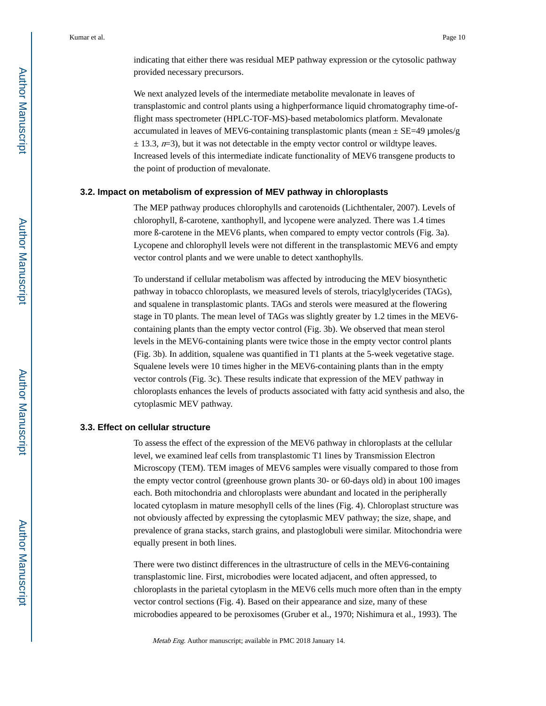indicating that either there was residual MEP pathway expression or the cytosolic pathway provided necessary precursors.

We next analyzed levels of the intermediate metabolite mevalonate in leaves of transplastomic and control plants using a highperformance liquid chromatography time-offlight mass spectrometer (HPLC-TOF-MS)-based metabolomics platform. Mevalonate accumulated in leaves of MEV6-containing transplastomic plants (mean  $\pm$  SE=49 µmoles/g  $\pm$  13.3,  $n=3$ ), but it was not detectable in the empty vector control or wildtype leaves. Increased levels of this intermediate indicate functionality of MEV6 transgene products to the point of production of mevalonate.

#### **3.2. Impact on metabolism of expression of MEV pathway in chloroplasts**

The MEP pathway produces chlorophylls and carotenoids (Lichthentaler, 2007). Levels of chlorophyll, ß-carotene, xanthophyll, and lycopene were analyzed. There was 1.4 times more ß-carotene in the MEV6 plants, when compared to empty vector controls (Fig. 3a). Lycopene and chlorophyll levels were not different in the transplastomic MEV6 and empty vector control plants and we were unable to detect xanthophylls.

To understand if cellular metabolism was affected by introducing the MEV biosynthetic pathway in tobacco chloroplasts, we measured levels of sterols, triacylglycerides (TAGs), and squalene in transplastomic plants. TAGs and sterols were measured at the flowering stage in T0 plants. The mean level of TAGs was slightly greater by 1.2 times in the MEV6 containing plants than the empty vector control (Fig. 3b). We observed that mean sterol levels in the MEV6-containing plants were twice those in the empty vector control plants (Fig. 3b). In addition, squalene was quantified in T1 plants at the 5-week vegetative stage. Squalene levels were 10 times higher in the MEV6-containing plants than in the empty vector controls (Fig. 3c). These results indicate that expression of the MEV pathway in chloroplasts enhances the levels of products associated with fatty acid synthesis and also, the cytoplasmic MEV pathway.

#### **3.3. Effect on cellular structure**

To assess the effect of the expression of the MEV6 pathway in chloroplasts at the cellular level, we examined leaf cells from transplastomic T1 lines by Transmission Electron Microscopy (TEM). TEM images of MEV6 samples were visually compared to those from the empty vector control (greenhouse grown plants 30- or 60-days old) in about 100 images each. Both mitochondria and chloroplasts were abundant and located in the peripherally located cytoplasm in mature mesophyll cells of the lines (Fig. 4). Chloroplast structure was not obviously affected by expressing the cytoplasmic MEV pathway; the size, shape, and prevalence of grana stacks, starch grains, and plastoglobuli were similar. Mitochondria were equally present in both lines.

There were two distinct differences in the ultrastructure of cells in the MEV6-containing transplastomic line. First, microbodies were located adjacent, and often appressed, to chloroplasts in the parietal cytoplasm in the MEV6 cells much more often than in the empty vector control sections (Fig. 4). Based on their appearance and size, many of these microbodies appeared to be peroxisomes (Gruber et al., 1970; Nishimura et al., 1993). The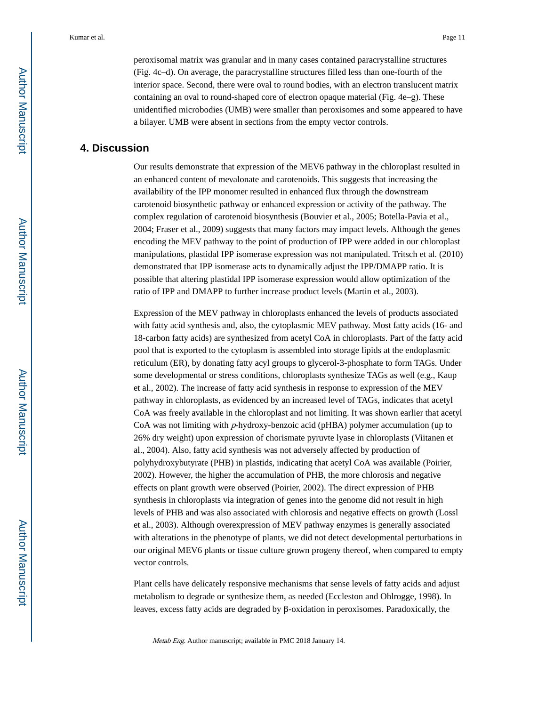peroxisomal matrix was granular and in many cases contained paracrystalline structures (Fig. 4c–d). On average, the paracrystalline structures filled less than one-fourth of the interior space. Second, there were oval to round bodies, with an electron translucent matrix containing an oval to round-shaped core of electron opaque material (Fig. 4e–g). These unidentified microbodies (UMB) were smaller than peroxisomes and some appeared to have a bilayer. UMB were absent in sections from the empty vector controls.

## **4. Discussion**

Our results demonstrate that expression of the MEV6 pathway in the chloroplast resulted in an enhanced content of mevalonate and carotenoids. This suggests that increasing the availability of the IPP monomer resulted in enhanced flux through the downstream carotenoid biosynthetic pathway or enhanced expression or activity of the pathway. The complex regulation of carotenoid biosynthesis (Bouvier et al., 2005; Botella-Pavia et al., 2004; Fraser et al., 2009) suggests that many factors may impact levels. Although the genes encoding the MEV pathway to the point of production of IPP were added in our chloroplast manipulations, plastidal IPP isomerase expression was not manipulated. Tritsch et al. (2010) demonstrated that IPP isomerase acts to dynamically adjust the IPP/DMAPP ratio. It is possible that altering plastidal IPP isomerase expression would allow optimization of the ratio of IPP and DMAPP to further increase product levels (Martin et al., 2003).

Expression of the MEV pathway in chloroplasts enhanced the levels of products associated with fatty acid synthesis and, also, the cytoplasmic MEV pathway. Most fatty acids (16- and 18-carbon fatty acids) are synthesized from acetyl CoA in chloroplasts. Part of the fatty acid pool that is exported to the cytoplasm is assembled into storage lipids at the endoplasmic reticulum (ER), by donating fatty acyl groups to glycerol-3-phosphate to form TAGs. Under some developmental or stress conditions, chloroplasts synthesize TAGs as well (e.g., Kaup et al., 2002). The increase of fatty acid synthesis in response to expression of the MEV pathway in chloroplasts, as evidenced by an increased level of TAGs, indicates that acetyl CoA was freely available in the chloroplast and not limiting. It was shown earlier that acetyl CoA was not limiting with  $p$ -hydroxy-benzoic acid (pHBA) polymer accumulation (up to 26% dry weight) upon expression of chorismate pyruvte lyase in chloroplasts (Viitanen et al., 2004). Also, fatty acid synthesis was not adversely affected by production of polyhydroxybutyrate (PHB) in plastids, indicating that acetyl CoA was available (Poirier, 2002). However, the higher the accumulation of PHB, the more chlorosis and negative effects on plant growth were observed (Poirier, 2002). The direct expression of PHB synthesis in chloroplasts via integration of genes into the genome did not result in high levels of PHB and was also associated with chlorosis and negative effects on growth (Lossl et al., 2003). Although overexpression of MEV pathway enzymes is generally associated with alterations in the phenotype of plants, we did not detect developmental perturbations in our original MEV6 plants or tissue culture grown progeny thereof, when compared to empty vector controls.

Plant cells have delicately responsive mechanisms that sense levels of fatty acids and adjust metabolism to degrade or synthesize them, as needed (Eccleston and Ohlrogge, 1998). In leaves, excess fatty acids are degraded by β-oxidation in peroxisomes. Paradoxically, the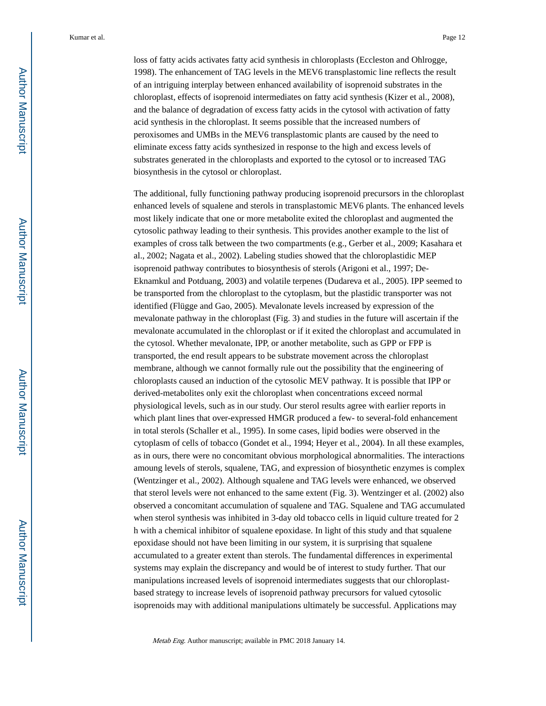loss of fatty acids activates fatty acid synthesis in chloroplasts (Eccleston and Ohlrogge, 1998). The enhancement of TAG levels in the MEV6 transplastomic line reflects the result of an intriguing interplay between enhanced availability of isoprenoid substrates in the chloroplast, effects of isoprenoid intermediates on fatty acid synthesis (Kizer et al., 2008), and the balance of degradation of excess fatty acids in the cytosol with activation of fatty acid synthesis in the chloroplast. It seems possible that the increased numbers of peroxisomes and UMBs in the MEV6 transplastomic plants are caused by the need to eliminate excess fatty acids synthesized in response to the high and excess levels of substrates generated in the chloroplasts and exported to the cytosol or to increased TAG biosynthesis in the cytosol or chloroplast.

The additional, fully functioning pathway producing isoprenoid precursors in the chloroplast enhanced levels of squalene and sterols in transplastomic MEV6 plants. The enhanced levels most likely indicate that one or more metabolite exited the chloroplast and augmented the cytosolic pathway leading to their synthesis. This provides another example to the list of examples of cross talk between the two compartments (e.g., Gerber et al., 2009; Kasahara et al., 2002; Nagata et al., 2002). Labeling studies showed that the chloroplastidic MEP isoprenoid pathway contributes to biosynthesis of sterols (Arigoni et al., 1997; De-Eknamkul and Potduang, 2003) and volatile terpenes (Dudareva et al., 2005). IPP seemed to be transported from the chloroplast to the cytoplasm, but the plastidic transporter was not identified (Flügge and Gao, 2005). Mevalonate levels increased by expression of the mevalonate pathway in the chloroplast (Fig. 3) and studies in the future will ascertain if the mevalonate accumulated in the chloroplast or if it exited the chloroplast and accumulated in the cytosol. Whether mevalonate, IPP, or another metabolite, such as GPP or FPP is transported, the end result appears to be substrate movement across the chloroplast membrane, although we cannot formally rule out the possibility that the engineering of chloroplasts caused an induction of the cytosolic MEV pathway. It is possible that IPP or derived-metabolites only exit the chloroplast when concentrations exceed normal physiological levels, such as in our study. Our sterol results agree with earlier reports in which plant lines that over-expressed HMGR produced a few- to several-fold enhancement in total sterols (Schaller et al., 1995). In some cases, lipid bodies were observed in the cytoplasm of cells of tobacco (Gondet et al., 1994; Heyer et al., 2004). In all these examples, as in ours, there were no concomitant obvious morphological abnormalities. The interactions amoung levels of sterols, squalene, TAG, and expression of biosynthetic enzymes is complex (Wentzinger et al., 2002). Although squalene and TAG levels were enhanced, we observed that sterol levels were not enhanced to the same extent (Fig. 3). Wentzinger et al. (2002) also observed a concomitant accumulation of squalene and TAG. Squalene and TAG accumulated when sterol synthesis was inhibited in 3-day old tobacco cells in liquid culture treated for 2 h with a chemical inhibitor of squalene epoxidase. In light of this study and that squalene epoxidase should not have been limiting in our system, it is surprising that squalene accumulated to a greater extent than sterols. The fundamental differences in experimental systems may explain the discrepancy and would be of interest to study further. That our manipulations increased levels of isoprenoid intermediates suggests that our chloroplastbased strategy to increase levels of isoprenoid pathway precursors for valued cytosolic isoprenoids may with additional manipulations ultimately be successful. Applications may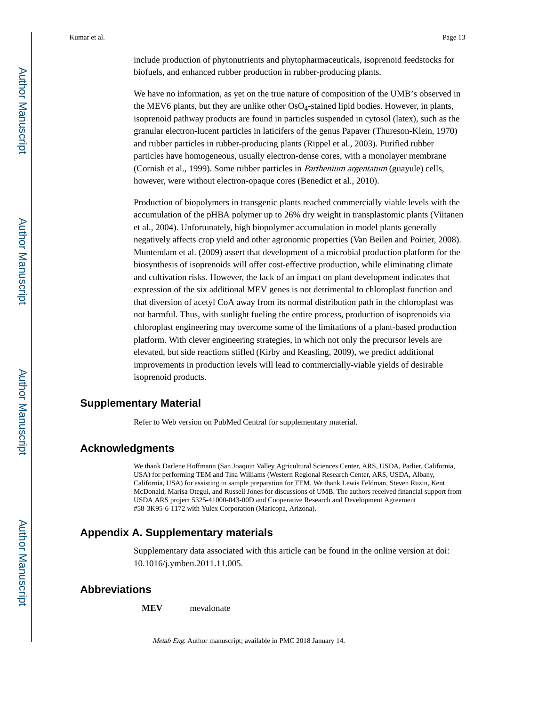include production of phytonutrients and phytopharmaceuticals, isoprenoid feedstocks for biofuels, and enhanced rubber production in rubber-producing plants.

We have no information, as yet on the true nature of composition of the UMB's observed in the MEV6 plants, but they are unlike other  $OsO<sub>4</sub>$ -stained lipid bodies. However, in plants, isoprenoid pathway products are found in particles suspended in cytosol (latex), such as the granular electron-lucent particles in laticifers of the genus Papaver (Thureson-Klein, 1970) and rubber particles in rubber-producing plants (Rippel et al., 2003). Purified rubber particles have homogeneous, usually electron-dense cores, with a monolayer membrane (Cornish et al., 1999). Some rubber particles in Parthenium argentatum (guayule) cells, however, were without electron-opaque cores (Benedict et al., 2010).

Production of biopolymers in transgenic plants reached commercially viable levels with the accumulation of the pHBA polymer up to 26% dry weight in transplastomic plants (Viitanen et al., 2004). Unfortunately, high biopolymer accumulation in model plants generally negatively affects crop yield and other agronomic properties (Van Beilen and Poirier, 2008). Muntendam et al. (2009) assert that development of a microbial production platform for the biosynthesis of isoprenoids will offer cost-effective production, while eliminating climate and cultivation risks. However, the lack of an impact on plant development indicates that expression of the six additional MEV genes is not detrimental to chloroplast function and that diversion of acetyl CoA away from its normal distribution path in the chloroplast was not harmful. Thus, with sunlight fueling the entire process, production of isoprenoids via chloroplast engineering may overcome some of the limitations of a plant-based production platform. With clever engineering strategies, in which not only the precursor levels are elevated, but side reactions stifled (Kirby and Keasling, 2009), we predict additional improvements in production levels will lead to commercially-viable yields of desirable isoprenoid products.

#### **Supplementary Material**

Refer to Web version on PubMed Central for supplementary material.

## **Acknowledgments**

We thank Darlene Hoffmann (San Joaquin Valley Agricultural Sciences Center, ARS, USDA, Parlier, California, USA) for performing TEM and Tina Williams (Western Regional Research Center, ARS, USDA, Albany, California, USA) for assisting in sample preparation for TEM. We thank Lewis Feldman, Steven Ruzin, Kent McDonald, Marisa Otegui, and Russell Jones for discussions of UMB. The authors received financial support from USDA ARS project 5325-41000-043-00D and Cooperative Research and Development Agreement #58-3K95-6-1172 with Yulex Corporation (Maricopa, Arizona).

## **Appendix A. Supplementary materials**

Supplementary data associated with this article can be found in the online version at doi: 10.1016/j.ymben.2011.11.005.

## **Abbreviations**

**MEV** mevalonate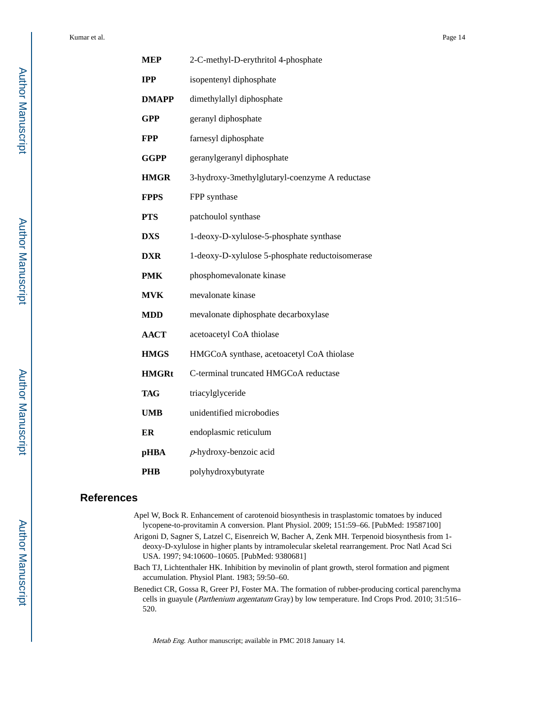| <b>MEP</b>   | 2-C-methyl-D-erythritol 4-phosphate             |
|--------------|-------------------------------------------------|
| <b>IPP</b>   | isopentenyl diphosphate                         |
| <b>DMAPP</b> | dimethylallyl diphosphate                       |
| <b>GPP</b>   | geranyl diphosphate                             |
| <b>FPP</b>   | farnesyl diphosphate                            |
| <b>GGPP</b>  | geranylgeranyl diphosphate                      |
| <b>HMGR</b>  | 3-hydroxy-3methylglutaryl-coenzyme A reductase  |
| <b>FPPS</b>  | FPP synthase                                    |
| <b>PTS</b>   | patchoulol synthase                             |
| <b>DXS</b>   | 1-deoxy-D-xylulose-5-phosphate synthase         |
| <b>DXR</b>   | 1-deoxy-D-xylulose 5-phosphate reductoisomerase |
| <b>PMK</b>   | phosphomevalonate kinase                        |
| <b>MVK</b>   | mevalonate kinase                               |
| <b>MDD</b>   | mevalonate diphosphate decarboxylase            |
| <b>AACT</b>  | acetoacetyl CoA thiolase                        |
| <b>HMGS</b>  | HMGCoA synthase, acetoacetyl CoA thiolase       |
| <b>HMGRt</b> | C-terminal truncated HMGCoA reductase           |
| <b>TAG</b>   | triacylglyceride                                |
| <b>UMB</b>   | unidentified microbodies                        |
| ER           | endoplasmic reticulum                           |
| <b>pHBA</b>  | $p$ -hydroxy-benzoic acid                       |
| PHB          | polyhydroxybutyrate                             |

## **References**

- Apel W, Bock R. Enhancement of carotenoid biosynthesis in trasplastomic tomatoes by induced lycopene-to-provitamin A conversion. Plant Physiol. 2009; 151:59–66. [PubMed: 19587100]
- Arigoni D, Sagner S, Latzel C, Eisenreich W, Bacher A, Zenk MH. Terpenoid biosynthesis from 1 deoxy-D-xylulose in higher plants by intramolecular skeletal rearrangement. Proc Natl Acad Sci USA. 1997; 94:10600–10605. [PubMed: 9380681]
- Bach TJ, Lichtenthaler HK. Inhibition by mevinolin of plant growth, sterol formation and pigment accumulation. Physiol Plant. 1983; 59:50–60.
- Benedict CR, Gossa R, Greer PJ, Foster MA. The formation of rubber-producing cortical parenchyma cells in guayule (Parthenium argentatum Gray) by low temperature. Ind Crops Prod. 2010; 31:516– 520.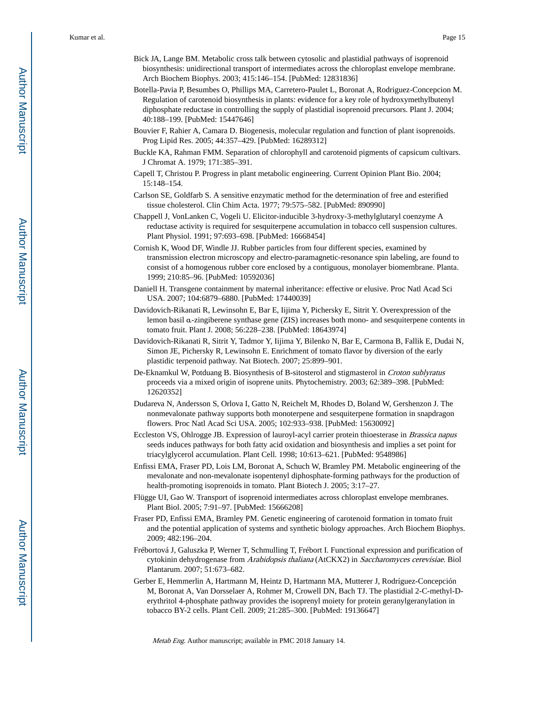- Bick JA, Lange BM. Metabolic cross talk between cytosolic and plastidial pathways of isoprenoid biosynthesis: unidirectional transport of intermediates across the chloroplast envelope membrane. Arch Biochem Biophys. 2003; 415:146–154. [PubMed: 12831836]
- Botella-Pavia P, Besumbes O, Phillips MA, Carretero-Paulet L, Boronat A, Rodriguez-Concepcion M. Regulation of carotenoid biosynthesis in plants: evidence for a key role of hydroxymethylbutenyl diphosphate reductase in controlling the supply of plastidial isoprenoid precursors. Plant J. 2004; 40:188–199. [PubMed: 15447646]
- Bouvier F, Rahier A, Camara D. Biogenesis, molecular regulation and function of plant isoprenoids. Prog Lipid Res. 2005; 44:357–429. [PubMed: 16289312]
- Buckle KA, Rahman FMM. Separation of chlorophyll and carotenoid pigments of capsicum cultivars. J Chromat A. 1979; 171:385–391.
- Capell T, Christou P. Progress in plant metabolic engineering. Current Opinion Plant Bio. 2004; 15:148–154.
- Carlson SE, Goldfarb S. A sensitive enzymatic method for the determination of free and esterified tissue cholesterol. Clin Chim Acta. 1977; 79:575–582. [PubMed: 890990]
- Chappell J, VonLanken C, Vogeli U. Elicitor-inducible 3-hydroxy-3-methylglutaryl coenzyme A reductase activity is required for sesquiterpene accumulation in tobacco cell suspension cultures. Plant Physiol. 1991; 97:693–698. [PubMed: 16668454]
- Cornish K, Wood DF, Windle JJ. Rubber particles from four different species, examined by transmission electron microscopy and electro-paramagnetic-resonance spin labeling, are found to consist of a homogenous rubber core enclosed by a contiguous, monolayer biomembrane. Planta. 1999; 210:85–96. [PubMed: 10592036]
- Daniell H. Transgene containment by maternal inheritance: effective or elusive. Proc Natl Acad Sci USA. 2007; 104:6879–6880. [PubMed: 17440039]
- Davidovich-Rikanati R, Lewinsohn E, Bar E, Iijima Y, Pichersky E, Sitrit Y. Overexpression of the lemon basil α-zingiberene synthase gene (ZIS) increases both mono- and sesquiterpene contents in tomato fruit. Plant J. 2008; 56:228–238. [PubMed: 18643974]
- Davidovich-Rikanati R, Sitrit Y, Tadmor Y, Iijima Y, Bilenko N, Bar E, Carmona B, Fallik E, Dudai N, Simon JE, Pichersky R, Lewinsohn E. Enrichment of tomato flavor by diversion of the early plastidic terpenoid pathway. Nat Biotech. 2007; 25:899–901.
- De-Eknamkul W, Potduang B. Biosynthesis of B-sitosterol and stigmasterol in Croton sublyratus proceeds via a mixed origin of isoprene units. Phytochemistry. 2003; 62:389–398. [PubMed: 12620352]
- Dudareva N, Andersson S, Orlova I, Gatto N, Reichelt M, Rhodes D, Boland W, Gershenzon J. The nonmevalonate pathway supports both monoterpene and sesquiterpene formation in snapdragon flowers. Proc Natl Acad Sci USA. 2005; 102:933–938. [PubMed: 15630092]
- Eccleston VS, Ohlrogge JB. Expression of lauroyl-acyl carrier protein thioesterase in Brassica napus seeds induces pathways for both fatty acid oxidation and biosynthesis and implies a set point for triacylglycerol accumulation. Plant Cell. 1998; 10:613–621. [PubMed: 9548986]
- Enfissi EMA, Fraser PD, Lois LM, Boronat A, Schuch W, Bramley PM. Metabolic engineering of the mevalonate and non-mevalonate isopentenyl diphosphate-forming pathways for the production of health-promoting isoprenoids in tomato. Plant Biotech J. 2005; 3:17–27.
- Flügge UI, Gao W. Transport of isoprenoid intermediates across chloroplast envelope membranes. Plant Biol. 2005; 7:91–97. [PubMed: 15666208]
- Fraser PD, Enfissi EMA, Bramley PM. Genetic engineering of carotenoid formation in tomato fruit and the potential application of systems and synthetic biology approaches. Arch Biochem Biophys. 2009; 482:196–204.
- Frébortová J, Galuszka P, Werner T, Schmulling T, Frébort I. Functional expression and purification of cytokinin dehydrogenase from Arabidopsis thaliana (AtCKX2) in Saccharomyces cerevisiae. Biol Plantarum. 2007; 51:673–682.
- Gerber E, Hemmerlin A, Hartmann M, Heintz D, Hartmann MA, Mutterer J, Rodríguez-Concepción M, Boronat A, Van Dorsselaer A, Rohmer M, Crowell DN, Bach TJ. The plastidial 2-C-methyl-Derythritol 4-phosphate pathway provides the isoprenyl moiety for protein geranylgeranylation in tobacco BY-2 cells. Plant Cell. 2009; 21:285–300. [PubMed: 19136647]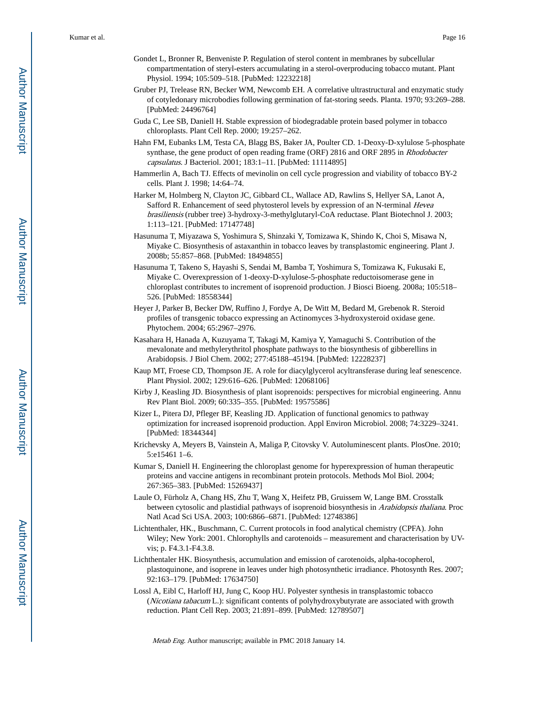- Gondet L, Bronner R, Benveniste P. Regulation of sterol content in membranes by subcellular compartmentation of steryl-esters accumulating in a sterol-overproducing tobacco mutant. Plant Physiol. 1994; 105:509–518. [PubMed: 12232218]
- Gruber PJ, Trelease RN, Becker WM, Newcomb EH. A correlative ultrastructural and enzymatic study of cotyledonary microbodies following germination of fat-storing seeds. Planta. 1970; 93:269–288. [PubMed: 24496764]
- Guda C, Lee SB, Daniell H. Stable expression of biodegradable protein based polymer in tobacco chloroplasts. Plant Cell Rep. 2000; 19:257–262.
- Hahn FM, Eubanks LM, Testa CA, Blagg BS, Baker JA, Poulter CD. 1-Deoxy-D-xylulose 5-phosphate synthase, the gene product of open reading frame (ORF) 2816 and ORF 2895 in Rhodobacter capsulatus. J Bacteriol. 2001; 183:1–11. [PubMed: 11114895]
- Hammerlin A, Bach TJ. Effects of mevinolin on cell cycle progression and viability of tobacco BY-2 cells. Plant J. 1998; 14:64–74.
- Harker M, Holmberg N, Clayton JC, Gibbard CL, Wallace AD, Rawlins S, Hellyer SA, Lanot A, Safford R. Enhancement of seed phytosterol levels by expression of an N-terminal Hevea brasiliensis (rubber tree) 3-hydroxy-3-methylglutaryl-CoA reductase. Plant Biotechnol J. 2003; 1:113–121. [PubMed: 17147748]
- Hasunuma T, Miyazawa S, Yoshimura S, Shinzaki Y, Tomizawa K, Shindo K, Choi S, Misawa N, Miyake C. Biosynthesis of astaxanthin in tobacco leaves by transplastomic engineering. Plant J. 2008b; 55:857–868. [PubMed: 18494855]
- Hasunuma T, Takeno S, Hayashi S, Sendai M, Bamba T, Yoshimura S, Tomizawa K, Fukusaki E, Miyake C. Overexpression of 1-deoxy-D-xylulose-5-phosphate reductoisomerase gene in chloroplast contributes to increment of isoprenoid production. J Biosci Bioeng. 2008a; 105:518– 526. [PubMed: 18558344]
- Heyer J, Parker B, Becker DW, Ruffino J, Fordye A, De Witt M, Bedard M, Grebenok R. Steroid profiles of transgenic tobacco expressing an Actinomyces 3-hydroxysteroid oxidase gene. Phytochem. 2004; 65:2967–2976.
- Kasahara H, Hanada A, Kuzuyama T, Takagi M, Kamiya Y, Yamaguchi S. Contribution of the mevalonate and methylerythritol phosphate pathways to the biosynthesis of gibberellins in Arabidopsis. J Biol Chem. 2002; 277:45188–45194. [PubMed: 12228237]
- Kaup MT, Froese CD, Thompson JE. A role for diacylglycerol acyltransferase during leaf senescence. Plant Physiol. 2002; 129:616–626. [PubMed: 12068106]
- Kirby J, Keasling JD. Biosynthesis of plant isoprenoids: perspectives for microbial engineering. Annu Rev Plant Biol. 2009; 60:335–355. [PubMed: 19575586]
- Kizer L, Pitera DJ, Pfleger BF, Keasling JD. Application of functional genomics to pathway optimization for increased isoprenoid production. Appl Environ Microbiol. 2008; 74:3229–3241. [PubMed: 18344344]
- Krichevsky A, Meyers B, Vainstein A, Maliga P, Citovsky V. Autoluminescent plants. PlosOne. 2010; 5:e15461 1–6.
- Kumar S, Daniell H. Engineering the chloroplast genome for hyperexpression of human therapeutic proteins and vaccine antigens in recombinant protein protocols. Methods Mol Biol. 2004; 267:365–383. [PubMed: 15269437]
- Laule O, Fürholz A, Chang HS, Zhu T, Wang X, Heifetz PB, Gruissem W, Lange BM. Crosstalk between cytosolic and plastidial pathways of isoprenoid biosynthesis in Arabidopsis thaliana. Proc Natl Acad Sci USA. 2003; 100:6866–6871. [PubMed: 12748386]
- Lichtenthaler, HK., Buschmann, C. Current protocols in food analytical chemistry (CPFA). John Wiley; New York: 2001. Chlorophylls and carotenoids – measurement and characterisation by UVvis; p. F4.3.1-F4.3.8.
- Lichthentaler HK. Biosynthesis, accumulation and emission of carotenoids, alpha-tocopherol, plastoquinone, and isoprene in leaves under high photosynthetic irradiance. Photosynth Res. 2007; 92:163–179. [PubMed: 17634750]
- Lossl A, Eibl C, Harloff HJ, Jung C, Koop HU. Polyester synthesis in transplastomic tobacco (Nicotiana tabacum L.): significant contents of polyhydroxybutyrate are associated with growth reduction. Plant Cell Rep. 2003; 21:891–899. [PubMed: 12789507]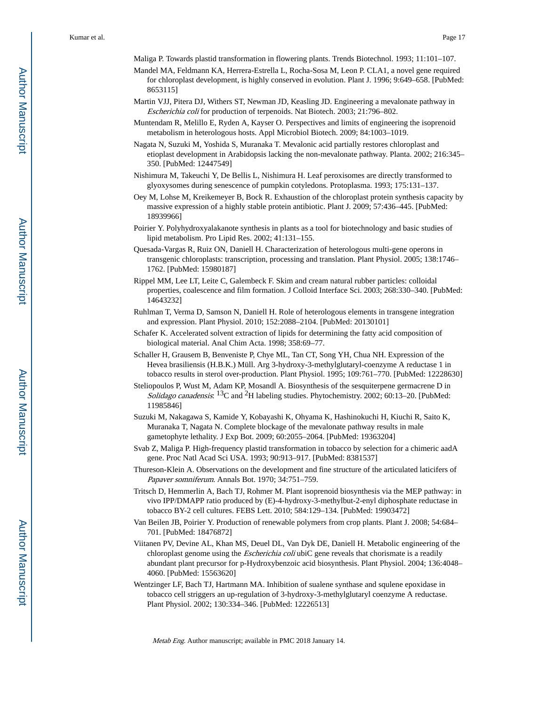Maliga P. Towards plastid transformation in flowering plants. Trends Biotechnol. 1993; 11:101–107.

- Mandel MA, Feldmann KA, Herrera-Estrella L, Rocha-Sosa M, Leon P. CLA1, a novel gene required for chloroplast development, is highly conserved in evolution. Plant J. 1996; 9:649–658. [PubMed: 8653115]
- Martin VJJ, Pitera DJ, Withers ST, Newman JD, Keasling JD. Engineering a mevalonate pathway in Escherichia coli for production of terpenoids. Nat Biotech. 2003; 21:796–802.
- Muntendam R, Melillo E, Ryden A, Kayser O. Perspectives and limits of engineering the isoprenoid metabolism in heterologous hosts. Appl Microbiol Biotech. 2009; 84:1003–1019.
- Nagata N, Suzuki M, Yoshida S, Muranaka T. Mevalonic acid partially restores chloroplast and etioplast development in Arabidopsis lacking the non-mevalonate pathway. Planta. 2002; 216:345– 350. [PubMed: 12447549]
- Nishimura M, Takeuchi Y, De Bellis L, Nishimura H. Leaf peroxisomes are directly transformed to glyoxysomes during senescence of pumpkin cotyledons. Protoplasma. 1993; 175:131–137.
- Oey M, Lohse M, Kreikemeyer B, Bock R. Exhaustion of the chloroplast protein synthesis capacity by massive expression of a highly stable protein antibiotic. Plant J. 2009; 57:436–445. [PubMed: 18939966]
- Poirier Y. Polyhydroxyalakanote synthesis in plants as a tool for biotechnology and basic studies of lipid metabolism. Pro Lipid Res. 2002; 41:131–155.
- Quesada-Vargas R, Ruiz ON, Daniell H. Characterization of heterologous multi-gene operons in transgenic chloroplasts: transcription, processing and translation. Plant Physiol. 2005; 138:1746– 1762. [PubMed: 15980187]
- Rippel MM, Lee LT, Leite C, Galembeck F. Skim and cream natural rubber particles: colloidal properties, coalescence and film formation. J Colloid Interface Sci. 2003; 268:330–340. [PubMed: 14643232]
- Ruhlman T, Verma D, Samson N, Daniell H. Role of heterologous elements in transgene integration and expression. Plant Physiol. 2010; 152:2088–2104. [PubMed: 20130101]
- Schafer K. Accelerated solvent extraction of lipids for determining the fatty acid composition of biological material. Anal Chim Acta. 1998; 358:69–77.
- Schaller H, Grausem B, Benveniste P, Chye ML, Tan CT, Song YH, Chua NH. Expression of the Hevea brasiliensis (H.B.K.) Müll. Arg 3-hydroxy-3-methylglutaryl-coenzyme A reductase 1 in tobacco results in sterol over-production. Plant Physiol. 1995; 109:761–770. [PubMed: 12228630]
- Steliopoulos P, Wust M, Adam KP, Mosandl A. Biosynthesis of the sesquiterpene germacrene D in Solidago canadensis:  ${}^{13}C$  and  ${}^{2}H$  labeling studies. Phytochemistry. 2002; 60:13–20. [PubMed: 11985846]
- Suzuki M, Nakagawa S, Kamide Y, Kobayashi K, Ohyama K, Hashinokuchi H, Kiuchi R, Saito K, Muranaka T, Nagata N. Complete blockage of the mevalonate pathway results in male gametophyte lethality. J Exp Bot. 2009; 60:2055–2064. [PubMed: 19363204]
- Svab Z, Maliga P. High-frequency plastid transformation in tobacco by selection for a chimeric aadA gene. Proc Natl Acad Sci USA. 1993; 90:913–917. [PubMed: 8381537]
- Thureson-Klein A. Observations on the development and fine structure of the articulated laticifers of Papaver somniferum. Annals Bot. 1970; 34:751–759.
- Tritsch D, Hemmerlin A, Bach TJ, Rohmer M. Plant isoprenoid biosynthesis via the MEP pathway: in vivo IPP/DMAPP ratio produced by (E)-4-hydroxy-3-methylbut-2-enyl diphosphate reductase in tobacco BY-2 cell cultures. FEBS Lett. 2010; 584:129–134. [PubMed: 19903472]
- Van Beilen JB, Poirier Y. Production of renewable polymers from crop plants. Plant J. 2008; 54:684– 701. [PubMed: 18476872]
- Viitanen PV, Devine AL, Khan MS, Deuel DL, Van Dyk DE, Daniell H. Metabolic engineering of the chloroplast genome using the *Escherichia coli* ubiC gene reveals that chorismate is a readily abundant plant precursor for p-Hydroxybenzoic acid biosynthesis. Plant Physiol. 2004; 136:4048– 4060. [PubMed: 15563620]
- Wentzinger LF, Bach TJ, Hartmann MA. Inhibition of sualene synthase and squlene epoxidase in tobacco cell striggers an up-regulation of 3-hydroxy-3-methylglutaryl coenzyme A reductase. Plant Physiol. 2002; 130:334–346. [PubMed: 12226513]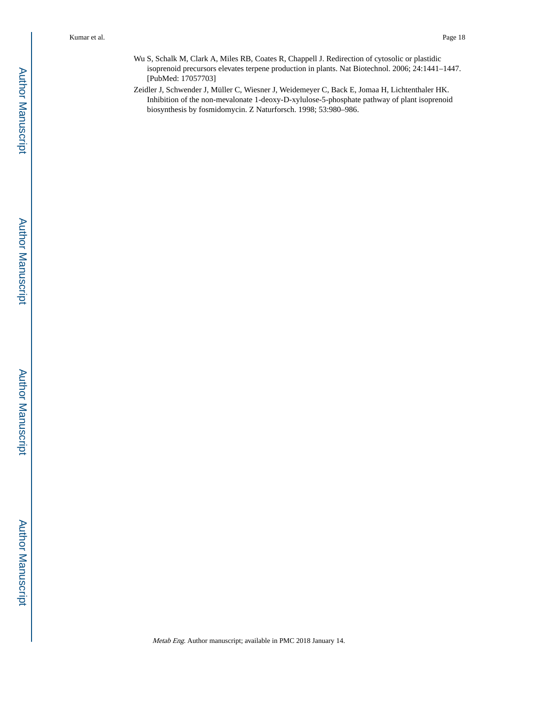- Wu S, Schalk M, Clark A, Miles RB, Coates R, Chappell J. Redirection of cytosolic or plastidic isoprenoid precursors elevates terpene production in plants. Nat Biotechnol. 2006; 24:1441–1447. [PubMed: 17057703]
- Zeidler J, Schwender J, Müller C, Wiesner J, Weidemeyer C, Back E, Jomaa H, Lichtenthaler HK. Inhibition of the non-mevalonate 1-deoxy-D-xylulose-5-phosphate pathway of plant isoprenoid biosynthesis by fosmidomycin. Z Naturforsch. 1998; 53:980–986.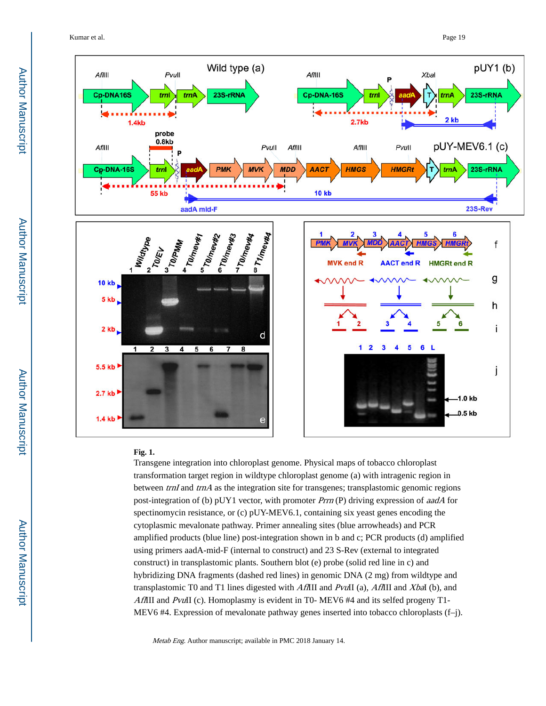Kumar et al. Page 19



#### **Fig. 1.**

Transgene integration into chloroplast genome. Physical maps of tobacco chloroplast transformation target region in wildtype chloroplast genome (a) with intragenic region in between  $trnI$  and  $trnA$  as the integration site for transgenes; transplastomic genomic regions post-integration of (b) pUY1 vector, with promoter Prrn (P) driving expression of aadA for spectinomycin resistance, or (c) pUY-MEV6.1, containing six yeast genes encoding the cytoplasmic mevalonate pathway. Primer annealing sites (blue arrowheads) and PCR amplified products (blue line) post-integration shown in b and c; PCR products (d) amplified using primers aadA-mid-F (internal to construct) and 23 S-Rev (external to integrated construct) in transplastomic plants. Southern blot (e) probe (solid red line in c) and hybridizing DNA fragments (dashed red lines) in genomic DNA (2 mg) from wildtype and transplastomic T0 and T1 lines digested with AflIII and PvuII (a), AflIII and XbaI (b), and AffIII and PvuII (c). Homoplasmy is evident in T0- MEV6 #4 and its selfed progeny T1-MEV6 #4. Expression of mevalonate pathway genes inserted into tobacco chloroplasts (f–j).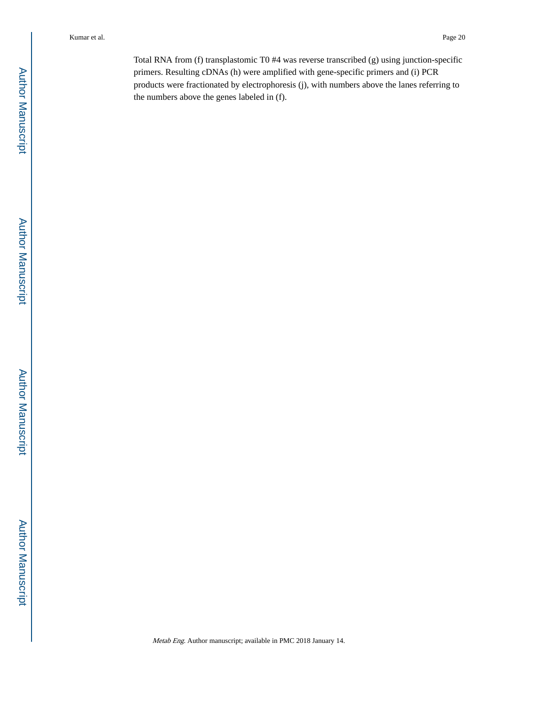Total RNA from (f) transplastomic T0 #4 was reverse transcribed (g) using junction-specific primers. Resulting cDNAs (h) were amplified with gene-specific primers and (i) PCR products were fractionated by electrophoresis (j), with numbers above the lanes referring to the numbers above the genes labeled in (f).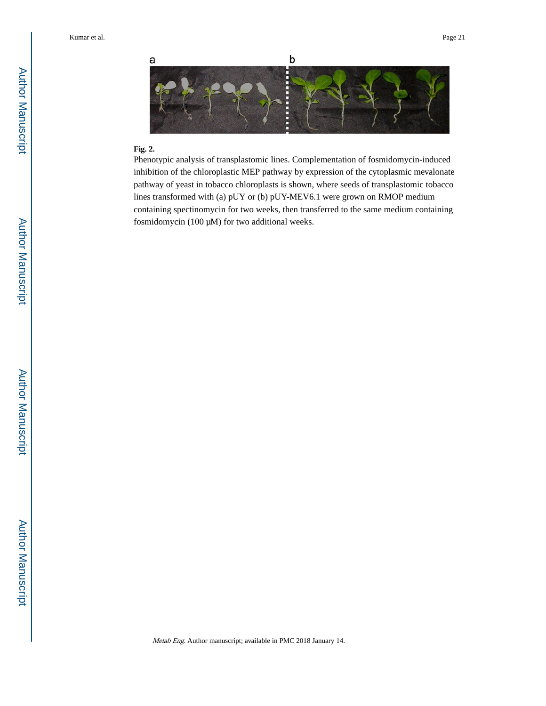

#### **Fig. 2.**

Phenotypic analysis of transplastomic lines. Complementation of fosmidomycin-induced inhibition of the chloroplastic MEP pathway by expression of the cytoplasmic mevalonate pathway of yeast in tobacco chloroplasts is shown, where seeds of transplastomic tobacco lines transformed with (a) pUY or (b) pUY-MEV6.1 were grown on RMOP medium containing spectinomycin for two weeks, then transferred to the same medium containing fosmidomycin (100 μM) for two additional weeks.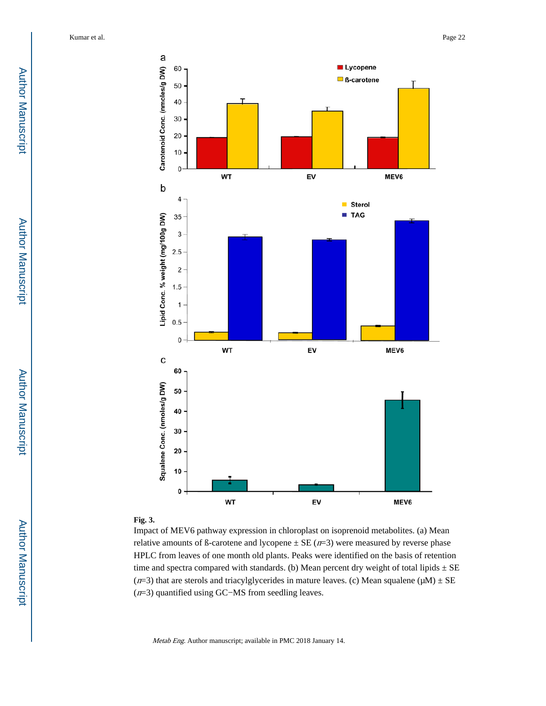

#### **Fig. 3.**

Impact of MEV6 pathway expression in chloroplast on isoprenoid metabolites. (a) Mean relative amounts of ß-carotene and lycopene  $\pm$  SE ( $n=3$ ) were measured by reverse phase HPLC from leaves of one month old plants. Peaks were identified on the basis of retention time and spectra compared with standards. (b) Mean percent dry weight of total lipids  $\pm$  SE ( $n=3$ ) that are sterols and triacylglycerides in mature leaves. (c) Mean squalene ( $\mu$ M)  $\pm$  SE (n=3) quantified using GC−MS from seedling leaves.